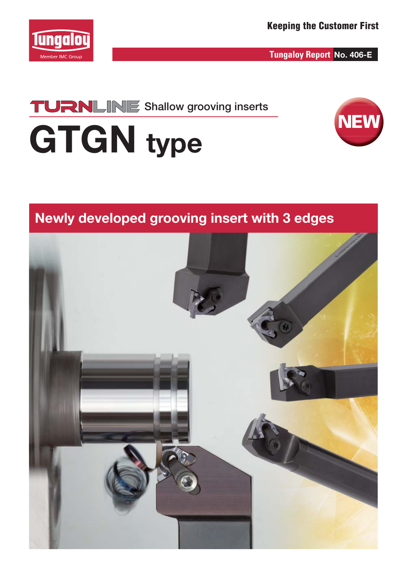

**Tungaloy Report No. 406-E**







### **Newly developed grooving insert with 3 edges**

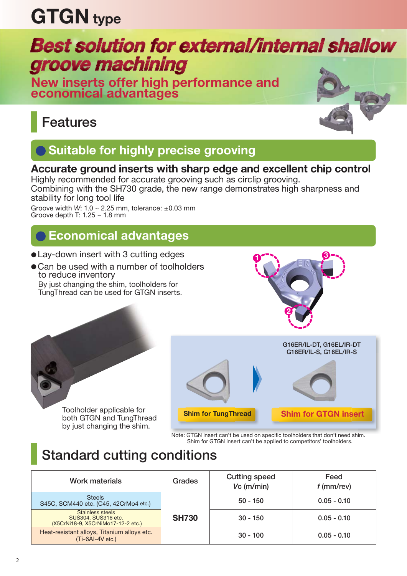# **GTGN type**

# **Best solution for external/internal shallow** groove machining

**New inserts offer high performance and economical advantages**

## **Features**



### **Suitable for highly precise grooving**

### **Accurate ground inserts with sharp edge and excellent chip control**

Highly recommended for accurate grooving such as circlip grooving. Combining with the SH730 grade, the new range demonstrates high sharpness and stability for long tool life

Groove width *W*: 1.0 ~ 2.25 mm, tolerance: ±0.03 mm Groove depth T: 1.25 ~ 1.8 mm

### **Economical advantages**

- Lay-down insert with 3 cutting edges
- Can be used with a number of toolholders to reduce inventory By just changing the shim, toolholders for TungThread can be used for GTGN inserts.



Toolholder applicable for both GTGN and TungThread by just changing the shim.





Note: GTGN insert can't be used on specific toolholders that don't need shim. Shim for GTGN insert can't be applied to competitors' toolholders.

### **Standard cutting conditions**

| <b>Work materials</b>                                                         | Grades       | <b>Cutting speed</b><br>$Vc$ (m/min) | Feed<br>$f$ (mm/rev) |
|-------------------------------------------------------------------------------|--------------|--------------------------------------|----------------------|
| <b>Steels</b><br>S45C, SCM440 etc. (C45, 42CrMo4 etc.)                        |              | $50 - 150$                           | $0.05 - 0.10$        |
| Stainless steels<br>SUS304, SUS316 etc.<br>(X5CrNi18-9, X5CrNiMo17-12-2 etc.) | <b>SH730</b> | $30 - 150$                           | $0.05 - 0.10$        |
| Heat-resistant alloys, Titanium alloys etc.<br>$(Ti-6Al-4V$ etc.)             |              | $30 - 100$                           | $0.05 - 0.10$        |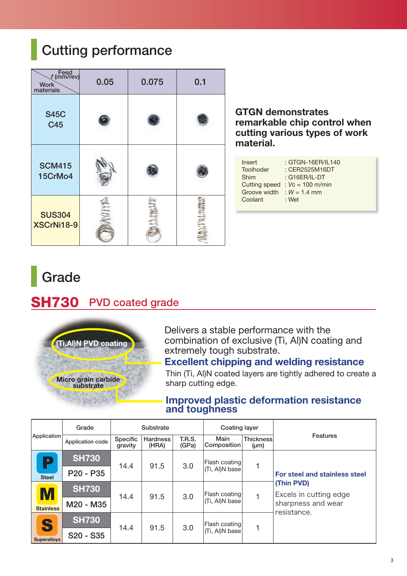### **Cutting performance**

| Feed<br>f (mm/rev)<br><b>Work</b><br>materials | 0.05 | 0.075 | 0.1 |
|------------------------------------------------|------|-------|-----|
| <b>S45C</b><br>C45                             |      |       |     |
| <b>SCM415</b><br>15CrMo4                       |      |       |     |
| <b>SUS304</b><br>XSCrNi18-9                    |      |       |     |

### **GTGN demonstrates remarkable chip control when cutting various types of work material.**

| Insert               | : GTGN-16ER/IL140  |
|----------------------|--------------------|
| Toolhoder            | : CER2525M16DT     |
| Shim                 | : $G16ER/IL-DT$    |
| <b>Cutting speed</b> | : $Vc = 100$ m/min |
| Groove width         | : $W = 1.4$ mm     |
| Coolant              | : Wet              |
|                      |                    |

### **SH730 Grade PVD coated grade**



Delivers a stable performance with the combination of exclusive (Ti, Al)N coating and extremely tough substrate. **(Ti,Al)N PVD coating**

### **Excellent chipping and welding resistance**

Thin (Ti, Al)N coated layers are tightly adhered to create a sharp cutting edge.

#### **Improved plastic deformation resistance and toughness**

|                    | Grade            |                            | Substrate                |                        | <b>Coating layer</b>            |                        |                                                                           |  |
|--------------------|------------------|----------------------------|--------------------------|------------------------|---------------------------------|------------------------|---------------------------------------------------------------------------|--|
| Application        | Application code | <b>Specific</b><br>gravity | <b>Hardness</b><br>(HRA) | <b>T.R.S.</b><br>(GPa) | Main<br>Composition             | Thickness<br>$(\mu m)$ | <b>Features</b>                                                           |  |
| P                  | <b>SH730</b>     | 14.4                       | 91.5                     | 3.0                    | Flash coating                   |                        |                                                                           |  |
| <b>Steel</b>       | P20 - P35        |                            |                          |                        | (Ti, Al)N base                  |                        | For steel and stainless steel                                             |  |
| M                  | <b>SH730</b>     | 14.4                       | 91.5                     | 3.0                    | Flash coating<br>(Ti, Al)N base |                        | (Thin PVD)<br>Excels in cutting edge<br>sharpness and wear<br>resistance. |  |
| <b>Stainless</b>   | M20 - M35        |                            |                          |                        |                                 |                        |                                                                           |  |
| S                  | <b>SH730</b>     | 14.4                       | 91.5                     | 3.0                    | Flash coating                   |                        |                                                                           |  |
| <b>Superalloys</b> | S20 - S35        |                            |                          |                        | (Ti, Al)N base                  |                        |                                                                           |  |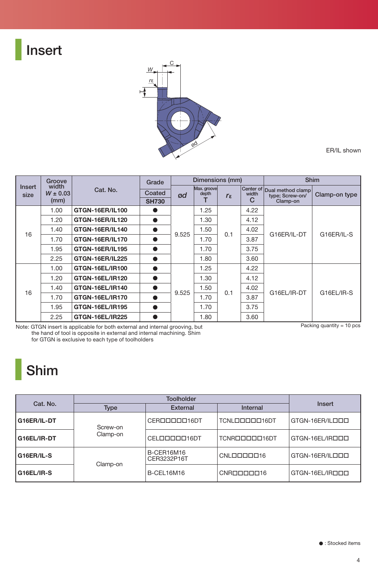### **Insert**



ER/IL shown

|                       | Groove                         |                        | Grade                  |       | Dimensions (mm)      |                   |             | <b>Shim</b>                                                |               |  |
|-----------------------|--------------------------------|------------------------|------------------------|-------|----------------------|-------------------|-------------|------------------------------------------------------------|---------------|--|
| <b>Insert</b><br>size | width<br>$W \pm 0.03$<br>(mm)  | Cat. No.               | Coated<br><b>SH730</b> | ød    | Max. groove<br>depth | $r_{\varepsilon}$ | width<br>C  | Center of Dual method clamp<br>type; Screw-on/<br>Clamp-on | Clamp-on type |  |
|                       | 1.00                           | <b>GTGN-16ER/IL100</b> |                        |       | 1.25                 |                   | 4.22        |                                                            |               |  |
|                       | 1.20                           | <b>GTGN-16ER/IL120</b> | ●                      |       | 1.30                 |                   | 4.12        |                                                            |               |  |
| 16                    | <b>GTGN-16ER/IL140</b><br>1.40 | $\bullet$              | 9.525                  | 1.50  | 0.1                  | 4.02              | G16ER/IL-DT | G16ER/IL-S                                                 |               |  |
| 1.70<br>1.95          |                                | <b>GTGN-16ER/IL170</b> |                        |       | 1.70                 |                   | 3.87        |                                                            |               |  |
|                       |                                | <b>GTGN-16ER/IL195</b> |                        |       | 1.70                 |                   | 3.75        |                                                            |               |  |
|                       | 2.25                           | <b>GTGN-16ER/IL225</b> |                        |       | 1.80                 |                   | 3.60        |                                                            |               |  |
|                       | 1.00                           | GTGN-16EL/IR100        |                        |       | 1.25                 |                   | 4.22        |                                                            |               |  |
|                       | 1.20                           | GTGN-16EL/IR120        |                        |       | 1.30                 |                   | 4.12        |                                                            |               |  |
| 16                    | 1.40                           | GTGN-16EL/IR140        |                        | 9.525 | 1.50                 | 0.1               | 4.02        | G16EL/IR-DT                                                | G16EL/IR-S    |  |
|                       | 1.70                           | GTGN-16EL/IR170        | ●                      |       | 1.70                 |                   | 3.87        |                                                            |               |  |
| 1.95                  |                                | <b>GTGN-16EL/IR195</b> |                        |       | 1.70                 |                   | 3.75        |                                                            |               |  |
|                       | 2.25                           | <b>GTGN-16EL/IR225</b> |                        |       | 1.80                 |                   | 3.60        |                                                            |               |  |

Note: GTGN insert is applicable for both external and internal grooving, but the hand of tool is opposite in external and internal machining. Shim for GTGN is exclusive to each type of toolholders

### **Shim**

| Cat. No.    |          | <b>Toolholder</b>         |                 | Insert          |  |
|-------------|----------|---------------------------|-----------------|-----------------|--|
|             | Type     | <b>External</b>           | <b>Internal</b> |                 |  |
| G16ER/IL-DT | Screw-on | CEROODO016DT              | TCNLOODOO16DT   | GTGN-16ER/ILOOD |  |
| G16EL/IR-DT | Clamp-on | CELOOOOO16DT              | TCNROODO016DT   | GTGN-16EL/IROOD |  |
| G16ER/IL-S  |          | B-CER16M16<br>CER3232P16T | CNLDDDDD16      | GTGN-16ER/ILDDD |  |
| G16EL/IR-S  | Clamp-on | B-CEL16M16                | CNRDDDD16       | GTGN-16EL/IROOD |  |

Packing quantity = 10 pcs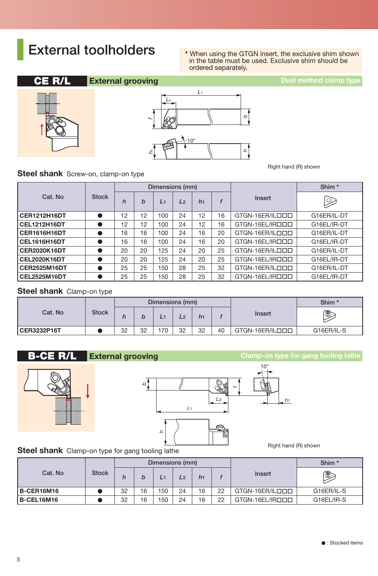### **External toolholders**

**\*** When using the GTGN insert, the exclusive shim shown in the table must be used. Exclusive shim should be ordered separately.

#### **CE R/L**

**External grooving Dual method clamp type** 





Right hand (R) shown

Right hand (R) shown

#### **Steel shank** Screw-on, clamp-on type

|                     | <b>Stock</b> |                  |    | Dimensions (mm) |                |                |    |                 | Shim <sup>*</sup>       |
|---------------------|--------------|------------------|----|-----------------|----------------|----------------|----|-----------------|-------------------------|
| Cat. No             |              | $\boldsymbol{h}$ | b  | L <sub>1</sub>  | L <sub>2</sub> | h <sub>1</sub> |    | Insert          | $\mathscr{\mathscr{D}}$ |
| <b>CER1212H16DT</b> |              | 12               | 12 | 100             | 24             | 12             | 16 | GTGN-16ER/ILDDD | G16ER/IL-DT             |
| <b>CEL1212H16DT</b> |              | 12               | 12 | 100             | 24             | 12             | 16 | GTGN-16EL/IROOD | G16EL/IR-DT             |
| <b>CER1616H16DT</b> |              | 16               | 16 | 100             | 24             | 16             | 20 | GTGN-16ER/ILDDD | G16ER/IL-DT             |
| <b>CEL1616H16DT</b> |              | 16               | 16 | 100             | 24             | 16             | 20 | GTGN-16EL/IRDDD | G16EL/IR-DT             |
| <b>CER2020K16DT</b> |              | 20               | 20 | 125             | 24             | 20             | 25 | GTGN-16ER/ILDDD | G16ER/IL-DT             |
| <b>CEL2020K16DT</b> |              | 20               | 20 | 125             | 24             | 20             | 25 | GTGN-16EL/IROOD | G16EL/IR-DT             |
| <b>CER2525M16DT</b> |              | 25               | 25 | 150             | 28             | 25             | 32 | GTGN-16ER/ILDDD | G16ER/IL-DT             |
| <b>CEL2525M16DT</b> |              | 25               | 25 | 150             | 28             | 25             | 32 | GTGN-16EL/IRDDD | G16EL/IR-DT             |

#### **Steel shank** Clamp-on type

|                    | <b>Stock</b> |    |    | Dimensions (mm) |    |    |    |                 | Shim <sup>*</sup> |
|--------------------|--------------|----|----|-----------------|----|----|----|-----------------|-------------------|
| Cat. No            |              | n  |    | L1              | L2 | h1 |    | Insert          | ∧☜<br>⊛           |
| <b>CER3232P16T</b> |              | 32 | 32 | 170             | 32 | 32 | 40 | GTGN-16ER/ILDDD | G16ER/IL-S        |

#### *L*1 *L*2 *f* $\frac{1}{2}$ 10° *h*1 **B-CE R/L** External grooving **Clamp-on type for gang tooling lathe**

*h*

#### **Steel shank** Clamp-on type for gang tooling lathe

**Dimensions (mm) Shim \* Cat. No Stock Insert** (C) *h bL***1** *L***2** *h***1** *f* **B-CER16M16**  $\bullet$  32 16 150 24 16 22 GTGN-16ER/IL G16ER/IL-S **B-CEL16M16**  $\bullet$ 32 16 150 24 16 22 GTGN-16EL/IR G16EL/IR-S